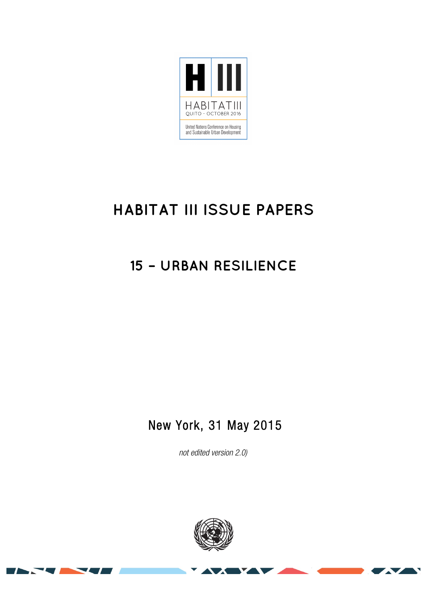

# **HABITAT III ISSUE PAPERS**

## **15 – URBAN RESILIENCE**

## New York, 31 May 2015

*not edited version* 2.0*)*



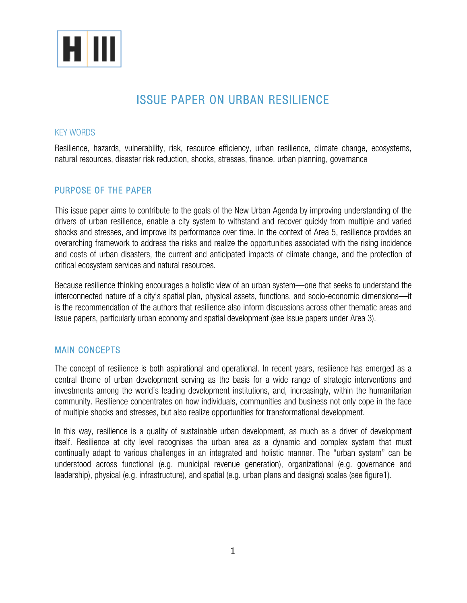

## ISSUE PAPER ON URBAN RESILIENCE

#### KEY WORDS

Resilience, hazards, vulnerability, risk, resource efficiency, urban resilience, climate change, ecosystems, natural resources, disaster risk reduction, shocks, stresses, finance, urban planning, governance

### PURPOSE OF THE PAPER

This issue paper aims to contribute to the goals of the New Urban Agenda by improving understanding of the drivers of urban resilience, enable a city system to withstand and recover quickly from multiple and varied shocks and stresses, and improve its performance over time. In the context of Area 5, resilience provides an overarching framework to address the risks and realize the opportunities associated with the rising incidence and costs of urban disasters, the current and anticipated impacts of climate change, and the protection of critical ecosystem services and natural resources.

Because resilience thinking encourages a holistic view of an urban system—one that seeks to understand the interconnected nature of a city's spatial plan, physical assets, functions, and socio-economic dimensions—it is the recommendation of the authors that resilience also inform discussions across other thematic areas and issue papers, particularly urban economy and spatial development (see issue papers under Area 3).

### MAIN CONCEPTS

The concept of resilience is both aspirational and operational. In recent years, resilience has emerged as a central theme of urban development serving as the basis for a wide range of strategic interventions and investments among the world's leading development institutions, and, increasingly, within the humanitarian community. Resilience concentrates on how individuals, communities and business not only cope in the face of multiple shocks and stresses, but also realize opportunities for transformational development.

In this way, resilience is a quality of sustainable urban development, as much as a driver of development itself. Resilience at city level recognises the urban area as a dynamic and complex system that must continually adapt to various challenges in an integrated and holistic manner. The "urban system" can be understood across functional (e.g. municipal revenue generation), organizational (e.g. governance and leadership), physical (e.g. infrastructure), and spatial (e.g. urban plans and designs) scales (see figure1).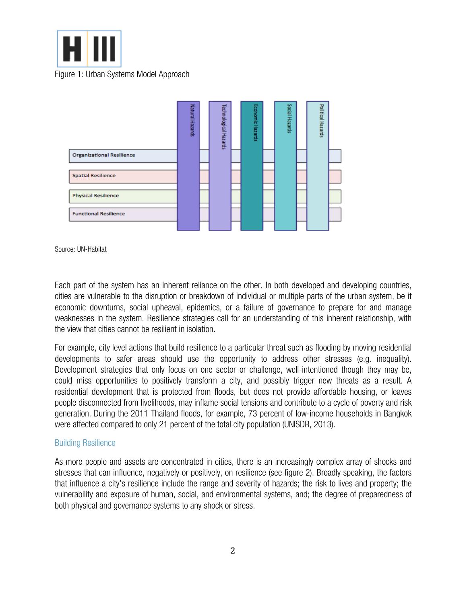



Source: UN-Habitat

Each part of the system has an inherent reliance on the other. In both developed and developing countries, cities are vulnerable to the disruption or breakdown of individual or multiple parts of the urban system, be it economic downturns, social upheaval, epidemics, or a failure of governance to prepare for and manage weaknesses in the system. Resilience strategies call for an understanding of this inherent relationship, with the view that cities cannot be resilient in isolation.

For example, city level actions that build resilience to a particular threat such as flooding by moving residential developments to safer areas should use the opportunity to address other stresses (e.g. inequality). Development strategies that only focus on one sector or challenge, well-intentioned though they may be, could miss opportunities to positively transform a city, and possibly trigger new threats as a result. A residential development that is protected from floods, but does not provide affordable housing, or leaves people disconnected from livelihoods, may inflame social tensions and contribute to a cycle of poverty and risk generation. During the 2011 Thailand floods, for example, 73 percent of low-income households in Bangkok were affected compared to only 21 percent of the total city population (UNISDR, 2013).

#### Building Resilience

As more people and assets are concentrated in cities, there is an increasingly complex array of shocks and stresses that can influence, negatively or positively, on resilience (see figure 2). Broadly speaking, the factors that influence a city's resilience include the range and severity of hazards; the risk to lives and property; the vulnerability and exposure of human, social, and environmental systems, and; the degree of preparedness of both physical and governance systems to any shock or stress.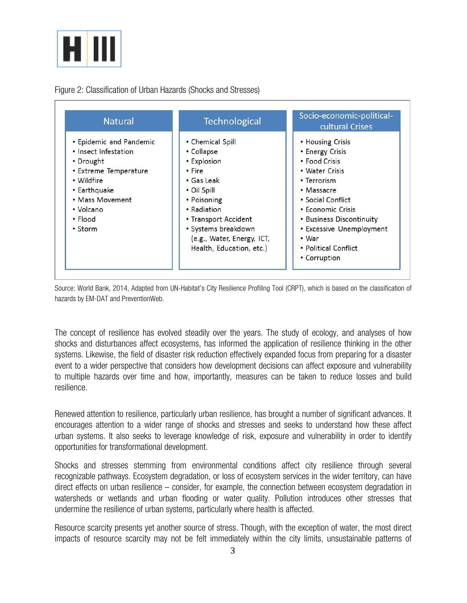

Figure 2: Classification of Urban Hazards (Shocks and Stresses)

| <b>Natural</b>                                                                                                                                                            | Technological                                                                                                                                                                                                               | Socio-economic-political-<br>cultural Crises                                                                                                                                                                                                           |
|---------------------------------------------------------------------------------------------------------------------------------------------------------------------------|-----------------------------------------------------------------------------------------------------------------------------------------------------------------------------------------------------------------------------|--------------------------------------------------------------------------------------------------------------------------------------------------------------------------------------------------------------------------------------------------------|
| • Epidemic and Pandemic<br>• Insect Infestation<br>• Drought<br>• Extreme Temperature<br>• Wildfire<br>• Earthquake<br>• Mass Movement<br>• Volcano<br>• Flood<br>• Storm | • Chemical Spill<br>• Collapse<br>• Explosion<br>• Fire<br>• Gas Leak<br>• Oil Spill<br>• Poisoning<br>• Radiation<br>• Transport Accident<br>· Systems breakdown<br>(e.g., Water, Energy, ICT,<br>Health, Education, etc.) | • Housing Crisis<br>• Energy Crisis<br>• Food Crisis<br>• Water Crisis<br>• Terrorism<br>• Massacre<br>• Social Conflict<br>• Economic Crisis<br>• Business Discontinuity<br>• Excessive Unemployment<br>• War<br>• Political Conflict<br>• Corruption |

Source: World Bank, 2014, Adapted from UN-Habitat's City Resilience Profiling Tool (CRPT), which is based on the classification of hazards by EM-DAT and PreventionWeb.

The concept of resilience has evolved steadily over the years. The study of ecology, and analyses of how shocks and disturbances affect ecosystems, has informed the application of resilience thinking in the other systems. Likewise, the field of disaster risk reduction effectively expanded focus from preparing for a disaster event to a wider perspective that considers how development decisions can affect exposure and vulnerability to multiple hazards over time and how, importantly, measures can be taken to reduce losses and build resilience.

Renewed attention to resilience, particularly urban resilience, has brought a number of significant advances. It encourages attention to a wider range of shocks and stresses and seeks to understand how these affect urban systems. It also seeks to leverage knowledge of risk, exposure and vulnerability in order to identify opportunities for transformational development.

Shocks and stresses stemming from environmental conditions affect city resilience through several recognizable pathways. Ecosystem degradation, or loss of ecosystem services in the wider territory, can have direct effects on urban resilience – consider, for example, the connection between ecosystem degradation in watersheds or wetlands and urban flooding or water quality. Pollution introduces other stresses that undermine the resilience of urban systems, particularly where health is affected.

Resource scarcity presents yet another source of stress. Though, with the exception of water, the most direct impacts of resource scarcity may not be felt immediately within the city limits, unsustainable patterns of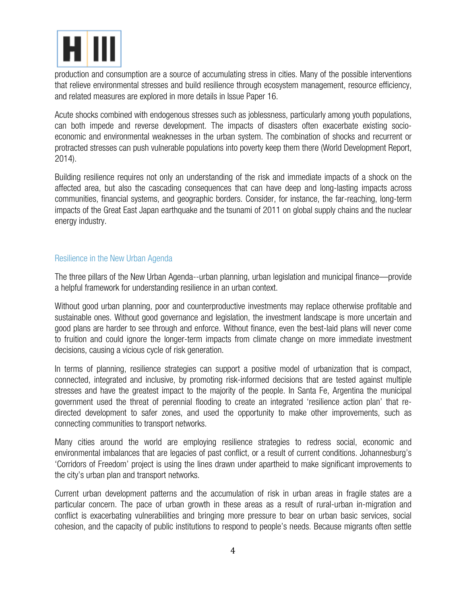

production and consumption are a source of accumulating stress in cities. Many of the possible interventions that relieve environmental stresses and build resilience through ecosystem management, resource efficiency, and related measures are explored in more details in Issue Paper 16.

Acute shocks combined with endogenous stresses such as joblessness, particularly among youth populations, can both impede and reverse development. The impacts of disasters often exacerbate existing socioeconomic and environmental weaknesses in the urban system. The combination of shocks and recurrent or protracted stresses can push vulnerable populations into poverty keep them there (World Development Report, 2014).

Building resilience requires not only an understanding of the risk and immediate impacts of a shock on the affected area, but also the cascading consequences that can have deep and long-lasting impacts across communities, financial systems, and geographic borders. Consider, for instance, the far-reaching, long-term impacts of the Great East Japan earthquake and the tsunami of 2011 on global supply chains and the nuclear energy industry.

#### Resilience in the New Urban Agenda

The three pillars of the New Urban Agenda--urban planning, urban legislation and municipal finance—provide a helpful framework for understanding resilience in an urban context.

Without good urban planning, poor and counterproductive investments may replace otherwise profitable and sustainable ones. Without good governance and legislation, the investment landscape is more uncertain and good plans are harder to see through and enforce. Without finance, even the best-laid plans will never come to fruition and could ignore the longer-term impacts from climate change on more immediate investment decisions, causing a vicious cycle of risk generation.

In terms of planning, resilience strategies can support a positive model of urbanization that is compact, connected, integrated and inclusive, by promoting risk-informed decisions that are tested against multiple stresses and have the greatest impact to the majority of the people. In Santa Fe, Argentina the municipal government used the threat of perennial flooding to create an integrated 'resilience action plan' that redirected development to safer zones, and used the opportunity to make other improvements, such as connecting communities to transport networks.

Many cities around the world are employing resilience strategies to redress social, economic and environmental imbalances that are legacies of past conflict, or a result of current conditions. Johannesburg's 'Corridors of Freedom' project is using the lines drawn under apartheid to make significant improvements to the city's urban plan and transport networks.

Current urban development patterns and the accumulation of risk in urban areas in fragile states are a particular concern. The pace of urban growth in these areas as a result of rural-urban in-migration and conflict is exacerbating vulnerabilities and bringing more pressure to bear on urban basic services, social cohesion, and the capacity of public institutions to respond to people's needs. Because migrants often settle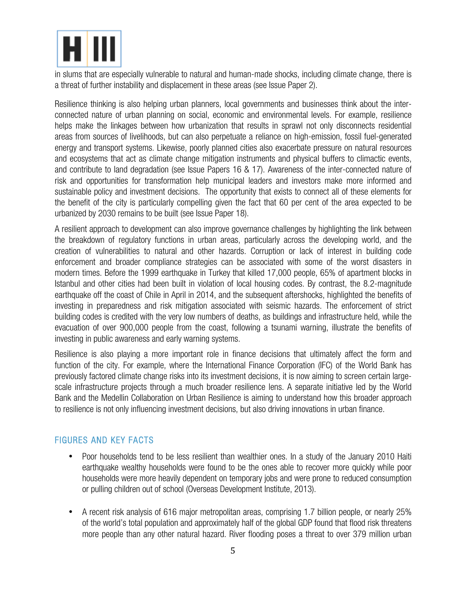

in slums that are especially vulnerable to natural and human-made shocks, including climate change, there is a threat of further instability and displacement in these areas (see Issue Paper 2).

Resilience thinking is also helping urban planners, local governments and businesses think about the interconnected nature of urban planning on social, economic and environmental levels. For example, resilience helps make the linkages between how urbanization that results in sprawl not only disconnects residential areas from sources of livelihoods, but can also perpetuate a reliance on high-emission, fossil fuel-generated energy and transport systems. Likewise, poorly planned cities also exacerbate pressure on natural resources and ecosystems that act as climate change mitigation instruments and physical buffers to climactic events, and contribute to land degradation (see Issue Papers 16 & 17). Awareness of the inter-connected nature of risk and opportunities for transformation help municipal leaders and investors make more informed and sustainable policy and investment decisions. The opportunity that exists to connect all of these elements for the benefit of the city is particularly compelling given the fact that 60 per cent of the area expected to be urbanized by 2030 remains to be built (see Issue Paper 18).

A resilient approach to development can also improve governance challenges by highlighting the link between the breakdown of regulatory functions in urban areas, particularly across the developing world, and the creation of vulnerabilities to natural and other hazards. Corruption or lack of interest in building code enforcement and broader compliance strategies can be associated with some of the worst disasters in modern times. Before the 1999 earthquake in Turkey that killed 17,000 people, 65% of apartment blocks in Istanbul and other cities had been built in violation of local housing codes. By contrast, the 8.2-magnitude earthquake off the coast of Chile in April in 2014, and the subsequent aftershocks, highlighted the benefits of investing in preparedness and risk mitigation associated with seismic hazards. The enforcement of strict building codes is credited with the very low numbers of deaths, as buildings and infrastructure held, while the evacuation of over 900,000 people from the coast, following a tsunami warning, illustrate the benefits of investing in public awareness and early warning systems.

Resilience is also playing a more important role in finance decisions that ultimately affect the form and function of the city. For example, where the International Finance Corporation (IFC) of the World Bank has previously factored climate change risks into its investment decisions, it is now aiming to screen certain largescale infrastructure projects through a much broader resilience lens. A separate initiative led by the World Bank and the Medellin Collaboration on Urban Resilience is aiming to understand how this broader approach to resilience is not only influencing investment decisions, but also driving innovations in urban finance.

## FIGURES AND KEY FACTS

- Poor households tend to be less resilient than wealthier ones. In a study of the January 2010 Haiti earthquake wealthy households were found to be the ones able to recover more quickly while poor households were more heavily dependent on temporary jobs and were prone to reduced consumption or pulling children out of school (Overseas Development Institute, 2013).
- A recent risk analysis of 616 major metropolitan areas, comprising 1.7 billion people, or nearly 25% of the world's total population and approximately half of the global GDP found that flood risk threatens more people than any other natural hazard. River flooding poses a threat to over 379 million urban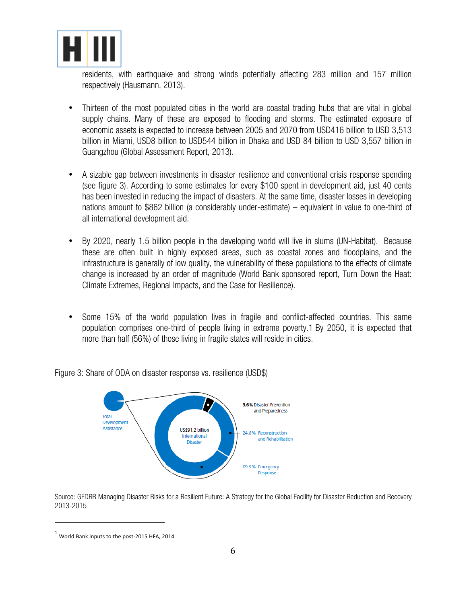

residents, with earthquake and strong winds potentially affecting 283 million and 157 million respectively (Hausmann, 2013).

- Thirteen of the most populated cities in the world are coastal trading hubs that are vital in global supply chains. Many of these are exposed to flooding and storms. The estimated exposure of economic assets is expected to increase between 2005 and 2070 from USD416 billion to USD 3,513 billion in Miami, USD8 billion to USD544 billion in Dhaka and USD 84 billion to USD 3,557 billion in Guangzhou (Global Assessment Report, 2013).
- A sizable gap between investments in disaster resilience and conventional crisis response spending (see figure 3). According to some estimates for every \$100 spent in development aid, just 40 cents has been invested in reducing the impact of disasters. At the same time, disaster losses in developing nations amount to \$862 billion (a considerably under-estimate) – equivalent in value to one-third of all international development aid.
- By 2020, nearly 1.5 billion people in the developing world will live in slums (UN-Habitat). Because these are often built in highly exposed areas, such as coastal zones and floodplains, and the infrastructure is generally of low quality, the vulnerability of these populations to the effects of climate change is increased by an order of magnitude (World Bank sponsored report, Turn Down the Heat: Climate Extremes, Regional Impacts, and the Case for Resilience).
- Some 15% of the world population lives in fragile and conflict-affected countries. This same population comprises one-third of people living in extreme poverty.1 By 2050, it is expected that more than half (56%) of those living in fragile states will reside in cities.

Figure 3: Share of ODA on disaster response vs. resilience (USD\$)



Source: GFDRR Managing Disaster Risks for a Resilient Future: A Strategy for the Global Facility for Disaster Reduction and Recovery 2013-2015

 

 $<sup>1</sup>$  World Bank inputs to the post-2015 HFA, 2014</sup>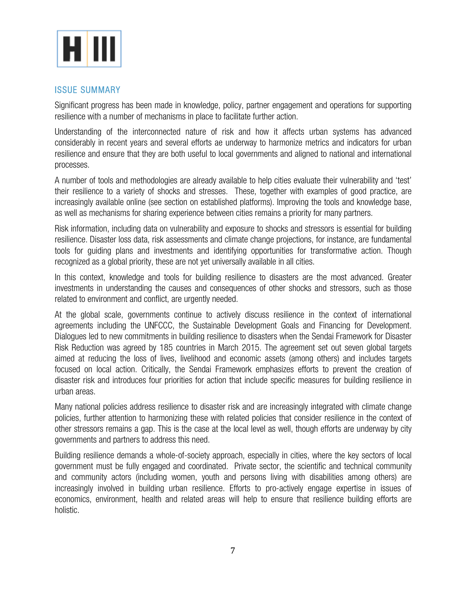

#### ISSUE SUMMARY

Significant progress has been made in knowledge, policy, partner engagement and operations for supporting resilience with a number of mechanisms in place to facilitate further action.

Understanding of the interconnected nature of risk and how it affects urban systems has advanced considerably in recent years and several efforts ae underway to harmonize metrics and indicators for urban resilience and ensure that they are both useful to local governments and aligned to national and international processes.

A number of tools and methodologies are already available to help cities evaluate their vulnerability and 'test' their resilience to a variety of shocks and stresses. These, together with examples of good practice, are increasingly available online (see section on established platforms). Improving the tools and knowledge base, as well as mechanisms for sharing experience between cities remains a priority for many partners.

Risk information, including data on vulnerability and exposure to shocks and stressors is essential for building resilience. Disaster loss data, risk assessments and climate change projections, for instance, are fundamental tools for guiding plans and investments and identifying opportunities for transformative action. Though recognized as a global priority, these are not yet universally available in all cities.

In this context, knowledge and tools for building resilience to disasters are the most advanced. Greater investments in understanding the causes and consequences of other shocks and stressors, such as those related to environment and conflict, are urgently needed.

At the global scale, governments continue to actively discuss resilience in the context of international agreements including the UNFCCC, the Sustainable Development Goals and Financing for Development. Dialogues led to new commitments in building resilience to disasters when the Sendai Framework for Disaster Risk Reduction was agreed by 185 countries in March 2015. The agreement set out seven global targets aimed at reducing the loss of lives, livelihood and economic assets (among others) and includes targets focused on local action. Critically, the Sendai Framework emphasizes efforts to prevent the creation of disaster risk and introduces four priorities for action that include specific measures for building resilience in urban areas.

Many national policies address resilience to disaster risk and are increasingly integrated with climate change policies, further attention to harmonizing these with related policies that consider resilience in the context of other stressors remains a gap. This is the case at the local level as well, though efforts are underway by city governments and partners to address this need.

Building resilience demands a whole-of-society approach, especially in cities, where the key sectors of local government must be fully engaged and coordinated. Private sector, the scientific and technical community and community actors (including women, youth and persons living with disabilities among others) are increasingly involved in building urban resilience. Efforts to pro-actively engage expertise in issues of economics, environment, health and related areas will help to ensure that resilience building efforts are holistic.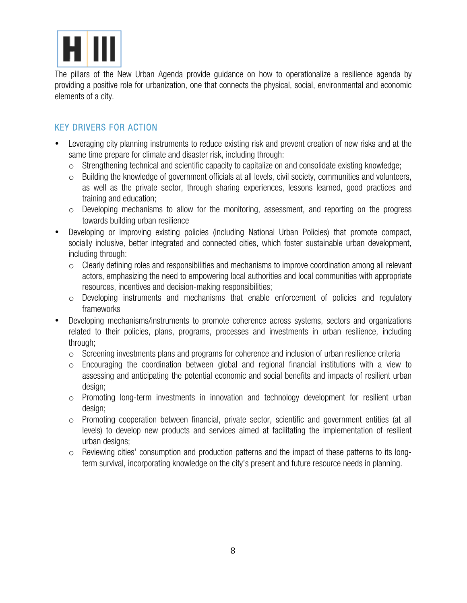

The pillars of the New Urban Agenda provide guidance on how to operationalize a resilience agenda by providing a positive role for urbanization, one that connects the physical, social, environmental and economic elements of a city.

## KEY DRIVERS FOR ACTION

- Leveraging city planning instruments to reduce existing risk and prevent creation of new risks and at the same time prepare for climate and disaster risk, including through:
	- $\circ$  Strengthening technical and scientific capacity to capitalize on and consolidate existing knowledge;
	- o Building the knowledge of government officials at all levels, civil society, communities and volunteers, as well as the private sector, through sharing experiences, lessons learned, good practices and training and education;
	- o Developing mechanisms to allow for the monitoring, assessment, and reporting on the progress towards building urban resilience
- Developing or improving existing policies (including National Urban Policies) that promote compact, socially inclusive, better integrated and connected cities, which foster sustainable urban development, including through:
	- $\circ$  Clearly defining roles and responsibilities and mechanisms to improve coordination among all relevant actors, emphasizing the need to empowering local authorities and local communities with appropriate resources, incentives and decision-making responsibilities;
	- o Developing instruments and mechanisms that enable enforcement of policies and regulatory frameworks
- Developing mechanisms/instruments to promote coherence across systems, sectors and organizations related to their policies, plans, programs, processes and investments in urban resilience, including through;
	- $\circ$  Screening investments plans and programs for coherence and inclusion of urban resilience criteria
	- o Encouraging the coordination between global and regional financial institutions with a view to assessing and anticipating the potential economic and social benefits and impacts of resilient urban design;
	- o Promoting long-term investments in innovation and technology development for resilient urban design;
	- o Promoting cooperation between financial, private sector, scientific and government entities (at all levels) to develop new products and services aimed at facilitating the implementation of resilient urban designs;
	- o Reviewing cities' consumption and production patterns and the impact of these patterns to its longterm survival, incorporating knowledge on the city's present and future resource needs in planning.